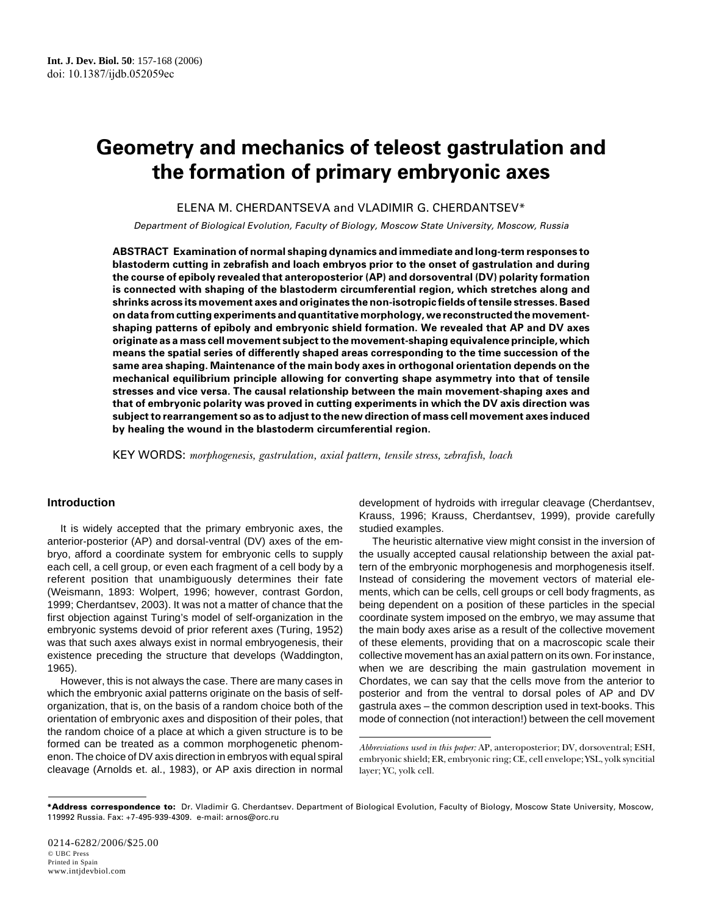# **Geometry and mechanics of teleost gastrulation and the formation of primary embryonic axes**

ELENA M. CHERDANTSEVA and VLADIMIR G. CHERDANTSEV\*

Department of Biological Evolution, Faculty of Biology, Moscow State University, Moscow, Russia

**ABSTRACT Examination of normal shaping dynamics and immediate and long-term responses to blastoderm cutting in zebrafish and loach embryos prior to the onset of gastrulation and during the course of epiboly revealed that anteroposterior (AP) and dorsoventral (DV) polarity formation is connected with shaping of the blastoderm circumferential region, which stretches along and shrinks across its movement axes and originates the non-isotropic fields of tensile stresses. Based on data from cutting experiments and quantitative morphology, we reconstructed the movementshaping patterns of epiboly and embryonic shield formation. We revealed that AP and DV axes originate as a mass cell movement subject to the movement-shaping equivalence principle, which means the spatial series of differently shaped areas corresponding to the time succession of the same area shaping. Maintenance of the main body axes in orthogonal orientation depends on the mechanical equilibrium principle allowing for converting shape asymmetry into that of tensile stresses and vice versa. The causal relationship between the main movement-shaping axes and that of embryonic polarity was proved in cutting experiments in which the DV axis direction was subject to rearrangement so as to adjust to the new direction of mass cell movement axes induced by healing the wound in the blastoderm circumferential region.**

KEY WORDS: *morphogenesis, gastrulation, axial pattern, tensile stress, zebrafish, loach*

# **Introduction**

It is widely accepted that the primary embryonic axes, the anterior-posterior (AP) and dorsal-ventral (DV) axes of the embryo, afford a coordinate system for embryonic cells to supply each cell, a cell group, or even each fragment of a cell body by a referent position that unambiguously determines their fate (Weismann, 1893: Wolpert, 1996; however, contrast Gordon, 1999; Cherdantsev, 2003). It was not a matter of chance that the first objection against Turing's model of self-organization in the embryonic systems devoid of prior referent axes (Turing, 1952) was that such axes always exist in normal embryogenesis, their existence preceding the structure that develops (Waddington, 1965).

However, this is not always the case. There are many cases in which the embryonic axial patterns originate on the basis of selforganization, that is, on the basis of a random choice both of the orientation of embryonic axes and disposition of their poles, that the random choice of a place at which a given structure is to be formed can be treated as a common morphogenetic phenomenon. The choice of DV axis direction in embryos with equal spiral cleavage (Arnolds et. al., 1983), or AP axis direction in normal

development of hydroids with irregular cleavage (Cherdantsev, Krauss, 1996; Krauss, Cherdantsev, 1999), provide carefully studied examples.

The heuristic alternative view might consist in the inversion of the usually accepted causal relationship between the axial pattern of the embryonic morphogenesis and morphogenesis itself. Instead of considering the movement vectors of material elements, which can be cells, cell groups or cell body fragments, as being dependent on a position of these particles in the special coordinate system imposed on the embryo, we may assume that the main body axes arise as a result of the collective movement of these elements, providing that on a macroscopic scale their collective movement has an axial pattern on its own. For instance, when we are describing the main gastrulation movement in Chordates, we can say that the cells move from the anterior to posterior and from the ventral to dorsal poles of AP and DV gastrula axes – the common description used in text-books. This mode of connection (not interaction!) between the cell movement

*Abbreviations used in this paper:* AP, anteroposterior; DV, dorsoventral; ESH, embryonic shield; ER, embryonic ring; CE, cell envelope; YSL, yolk syncitial layer; YC, yolk cell.

**<sup>\*</sup>Address correspondence to:** Dr. Vladimir G. Cherdantsev. Department of Biological Evolution, Faculty of Biology, Moscow State University, Moscow, 119992 Russia. Fax: +7-495-939-4309. e-mail: arnos@orc.ru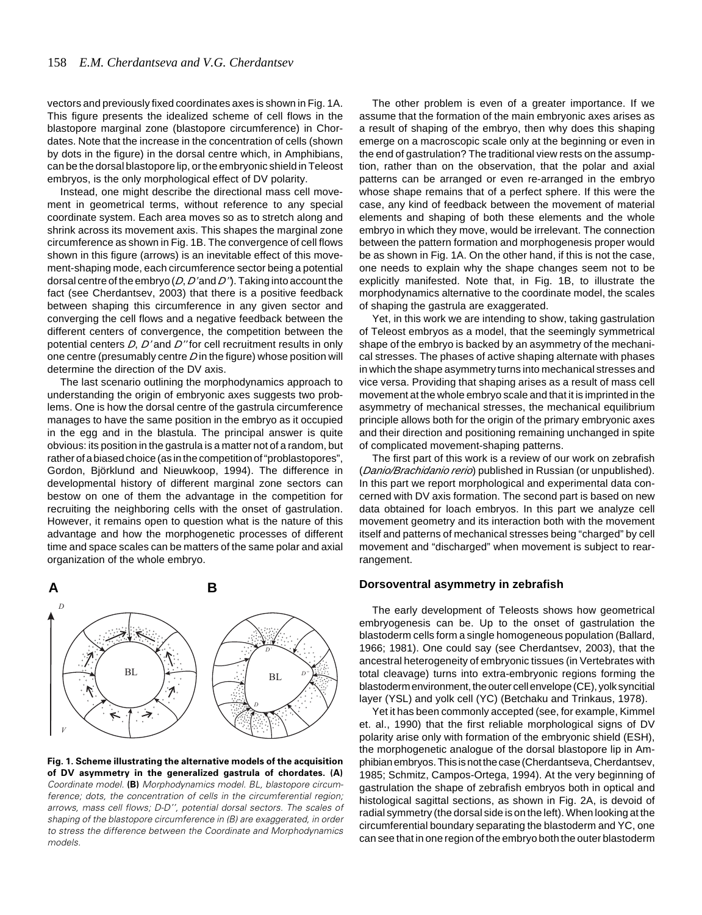vectors and previously fixed coordinates axes is shown in Fig. 1A. This figure presents the idealized scheme of cell flows in the blastopore marginal zone (blastopore circumference) in Chordates. Note that the increase in the concentration of cells (shown by dots in the figure) in the dorsal centre which, in Amphibians, can be the dorsal blastopore lip, or the embryonic shield in Teleost embryos, is the only morphological effect of DV polarity.

Instead, one might describe the directional mass cell movement in geometrical terms, without reference to any special coordinate system. Each area moves so as to stretch along and shrink across its movement axis. This shapes the marginal zone circumference as shown in Fig. 1B. The convergence of cell flows shown in this figure (arrows) is an inevitable effect of this movement-shaping mode, each circumference sector being a potential dorsal centre of the embryo (*D*, *D'* and *D''*). Taking into account the fact (see Cherdantsev, 2003) that there is a positive feedback between shaping this circumference in any given sector and converging the cell flows and a negative feedback between the different centers of convergence, the competition between the potential centers *D*, *D'* and *D''* for cell recruitment results in only one centre (presumably centre *D* in the figure) whose position will determine the direction of the DV axis.

The last scenario outlining the morphodynamics approach to understanding the origin of embryonic axes suggests two problems. One is how the dorsal centre of the gastrula circumference manages to have the same position in the embryo as it occupied in the egg and in the blastula. The principal answer is quite obvious: its position in the gastrula is a matter not of a random, but rather of a biased choice (as in the competition of "problastopores", Gordon, Björklund and Nieuwkoop, 1994). The difference in developmental history of different marginal zone sectors can bestow on one of them the advantage in the competition for recruiting the neighboring cells with the onset of gastrulation. However, it remains open to question what is the nature of this advantage and how the morphogenetic processes of different time and space scales can be matters of the same polar and axial organization of the whole embryo.



**Fig. 1. Scheme illustrating the alternative models of the acquisition of DV asymmetry in the generalized gastrula of chordates. (A)** Coordinate model. **(B)** Morphodynamics model. BL, blastopore circumference; dots, the concentration of cells in the circumferential region; arrows, mass cell flows; D-D'', potential dorsal sectors. The scales of shaping of the blastopore circumference in (B) are exaggerated, in order to stress the difference between the Coordinate and Morphodynamics models.

The other problem is even of a greater importance. If we assume that the formation of the main embryonic axes arises as a result of shaping of the embryo, then why does this shaping emerge on a macroscopic scale only at the beginning or even in the end of gastrulation? The traditional view rests on the assumption, rather than on the observation, that the polar and axial patterns can be arranged or even re-arranged in the embryo whose shape remains that of a perfect sphere. If this were the case, any kind of feedback between the movement of material elements and shaping of both these elements and the whole embryo in which they move, would be irrelevant. The connection between the pattern formation and morphogenesis proper would be as shown in Fig. 1A. On the other hand, if this is not the case, one needs to explain why the shape changes seem not to be explicitly manifested. Note that, in Fig. 1B, to illustrate the morphodynamics alternative to the coordinate model, the scales of shaping the gastrula are exaggerated.

Yet, in this work we are intending to show, taking gastrulation of Teleost embryos as a model, that the seemingly symmetrical shape of the embryo is backed by an asymmetry of the mechanical stresses. The phases of active shaping alternate with phases in which the shape asymmetry turns into mechanical stresses and vice versa. Providing that shaping arises as a result of mass cell movement at the whole embryo scale and that it is imprinted in the asymmetry of mechanical stresses, the mechanical equilibrium principle allows both for the origin of the primary embryonic axes and their direction and positioning remaining unchanged in spite of complicated movement-shaping patterns.

The first part of this work is a review of our work on zebrafish (*Danio/Brachidanio rerio*) published in Russian (or unpublished). In this part we report morphological and experimental data concerned with DV axis formation. The second part is based on new data obtained for loach embryos. In this part we analyze cell movement geometry and its interaction both with the movement itself and patterns of mechanical stresses being "charged" by cell movement and "discharged" when movement is subject to rearrangement.

## **Dorsoventral asymmetry in zebrafish**

The early development of Teleosts shows how geometrical embryogenesis can be. Up to the onset of gastrulation the blastoderm cells form a single homogeneous population (Ballard, 1966; 1981). One could say (see Cherdantsev, 2003), that the ancestral heterogeneity of embryonic tissues (in Vertebrates with total cleavage) turns into extra-embryonic regions forming the blastoderm environment, the outer cell envelope (CE), yolk syncitial layer (YSL) and yolk cell (YC) (Betchaku and Trinkaus, 1978).

Yet it has been commonly accepted (see, for example, Kimmel et. al., 1990) that the first reliable morphological signs of DV polarity arise only with formation of the embryonic shield (ESH), the morphogenetic analogue of the dorsal blastopore lip in Amphibian embryos. This is not the case (Cherdantseva, Cherdantsev, 1985; Schmitz, Campos-Ortega, 1994). At the very beginning of gastrulation the shape of zebrafish embryos both in optical and histological sagittal sections, as shown in Fig. 2A, is devoid of radial symmetry (the dorsal side is on the left). When looking at the circumferential boundary separating the blastoderm and YC, one can see that in one region of the embryo both the outer blastoderm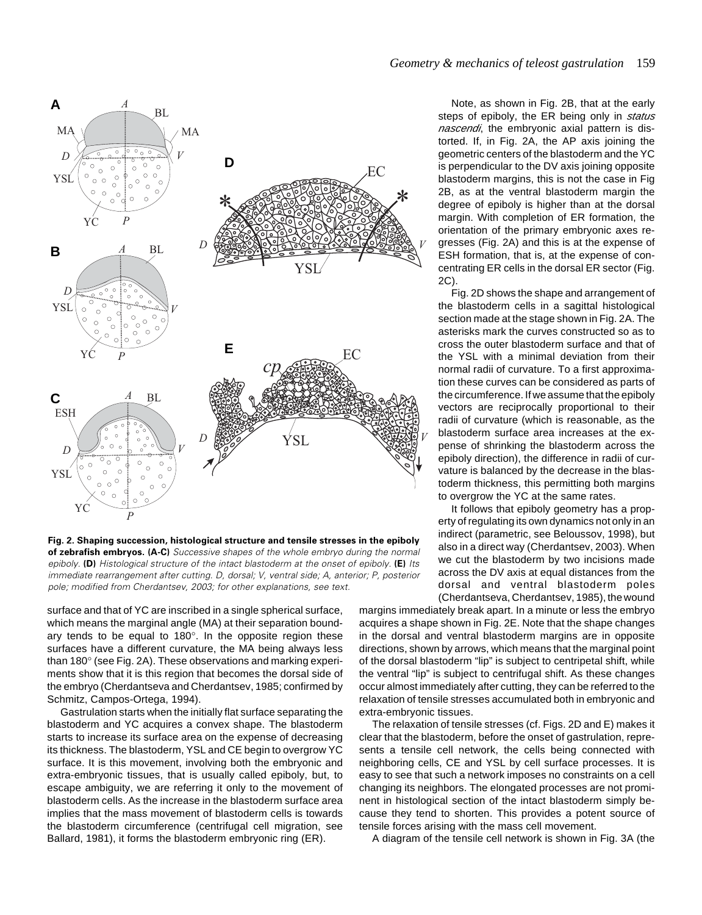

**Fig. 2. Shaping succession, histological structure and tensile stresses in the epiboly of zebrafish embryos. (A-C)** Successive shapes of the whole embryo during the normal epiboly. **(D)** Histological structure of the intact blastoderm at the onset of epiboly. **(E)** Its immediate rearrangement after cutting. D, dorsal; V, ventral side; A, anterior; P, posterior pole; modified from Cherdantsev, 2003; for other explanations, see text.

surface and that of YC are inscribed in a single spherical surface, which means the marginal angle (MA) at their separation boundary tends to be equal to 180°. In the opposite region these surfaces have a different curvature, the MA being always less than 180° (see Fig. 2A). These observations and marking experiments show that it is this region that becomes the dorsal side of the embryo (Cherdantseva and Cherdantsev, 1985; confirmed by Schmitz, Campos-Ortega, 1994).

Gastrulation starts when the initially flat surface separating the blastoderm and YC acquires a convex shape. The blastoderm starts to increase its surface area on the expense of decreasing its thickness. The blastoderm, YSL and CE begin to overgrow YC surface. It is this movement, involving both the embryonic and extra-embryonic tissues, that is usually called epiboly, but, to escape ambiguity, we are referring it only to the movement of blastoderm cells. As the increase in the blastoderm surface area implies that the mass movement of blastoderm cells is towards the blastoderm circumference (centrifugal cell migration, see Ballard, 1981), it forms the blastoderm embryonic ring (ER).

Note, as shown in Fig. 2B, that at the early steps of epiboly, the ER being only in *status nascendi*, the embryonic axial pattern is distorted. If, in Fig. 2A, the AP axis joining the geometric centers of the blastoderm and the YC is perpendicular to the DV axis joining opposite blastoderm margins, this is not the case in Fig 2B, as at the ventral blastoderm margin the degree of epiboly is higher than at the dorsal margin. With completion of ER formation, the orientation of the primary embryonic axes regresses (Fig. 2A) and this is at the expense of ESH formation, that is, at the expense of concentrating ER cells in the dorsal ER sector (Fig. 2C).

Fig. 2D shows the shape and arrangement of the blastoderm cells in a sagittal histological section made at the stage shown in Fig. 2A. The asterisks mark the curves constructed so as to cross the outer blastoderm surface and that of the YSL with a minimal deviation from their normal radii of curvature. To a first approximation these curves can be considered as parts of the circumference. If we assume that the epiboly vectors are reciprocally proportional to their radii of curvature (which is reasonable, as the blastoderm surface area increases at the expense of shrinking the blastoderm across the epiboly direction), the difference in radii of curvature is balanced by the decrease in the blastoderm thickness, this permitting both margins to overgrow the YC at the same rates.

It follows that epiboly geometry has a property of regulating its own dynamics not only in an indirect (parametric, see Beloussov, 1998), but also in a direct way (Cherdantsev, 2003). When we cut the blastoderm by two incisions made across the DV axis at equal distances from the dorsal and ventral blastoderm poles (Cherdantseva, Cherdantsev, 1985), the wound

margins immediately break apart. In a minute or less the embryo acquires a shape shown in Fig. 2E. Note that the shape changes in the dorsal and ventral blastoderm margins are in opposite directions, shown by arrows, which means that the marginal point of the dorsal blastoderm "lip" is subject to centripetal shift, while the ventral "lip" is subject to centrifugal shift. As these changes occur almost immediately after cutting, they can be referred to the relaxation of tensile stresses accumulated both in embryonic and extra-embryonic tissues.

The relaxation of tensile stresses (cf. Figs. 2D and E) makes it clear that the blastoderm, before the onset of gastrulation, represents a tensile cell network, the cells being connected with neighboring cells, CE and YSL by cell surface processes. It is easy to see that such a network imposes no constraints on a cell changing its neighbors. The elongated processes are not prominent in histological section of the intact blastoderm simply because they tend to shorten. This provides a potent source of tensile forces arising with the mass cell movement.

A diagram of the tensile cell network is shown in Fig. 3A (the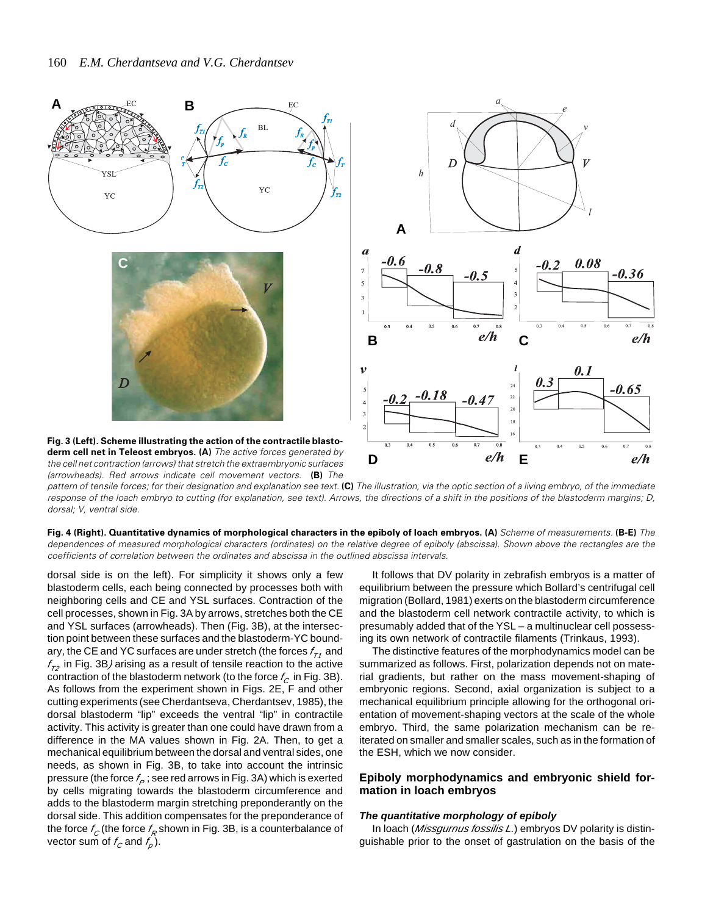





pattern of tensile forces; for their designation and explanation see text. **(C)** The illustration, via the optic section of a living embryo, of the immediate response of the loach embryo to cutting (for explanation, see text). Arrows, the directions of a shift in the positions of the blastoderm margins; D, dorsal; V, ventral side.

**Fig. 4 (Right). Quantitative dynamics of morphological characters in the epiboly of loach embryos. (A)** Scheme of measurements. **(B-E)** The dependences of measured morphological characters (ordinates) on the relative degree of epiboly (abscissa). Shown above the rectangles are the coefficients of correlation between the ordinates and abscissa in the outlined abscissa intervals.

dorsal side is on the left). For simplicity it shows only a few blastoderm cells, each being connected by processes both with neighboring cells and CE and YSL surfaces. Contraction of the cell processes, shown in Fig. 3A by arrows, stretches both the CE and YSL surfaces (arrowheads). Then (Fig. 3B), at the intersection point between these surfaces and the blastoderm-YC boundary, the CE and YC surfaces are under stretch (the forces  $f_{\tau_1}$  and  $f_{72}$  in Fig. 3B/arising as a result of tensile reaction to the active contraction of the blastoderm network (to the force  $f_C$  in Fig. 3B). As follows from the experiment shown in Figs. 2E, F and other cutting experiments (see Cherdantseva, Cherdantsev, 1985), the dorsal blastoderm "lip" exceeds the ventral "lip" in contractile activity. This activity is greater than one could have drawn from a difference in the MA values shown in Fig. 2A. Then, to get a mechanical equilibrium between the dorsal and ventral sides, one needs, as shown in Fig. 3B, to take into account the intrinsic pressure (the force  $f_P$ ; see red arrows in Fig. 3A) which is exerted by cells migrating towards the blastoderm circumference and adds to the blastoderm margin stretching preponderantly on the dorsal side. This addition compensates for the preponderance of the force  $f_C$  (the force  $f_R$  shown in Fig. 3B, is a counterbalance of vector sum of  $f_C$  and  $f_p$ ).

It follows that DV polarity in zebrafish embryos is a matter of equilibrium between the pressure which Bollard's centrifugal cell migration (Bollard, 1981) exerts on the blastoderm circumference and the blastoderm cell network contractile activity, to which is presumably added that of the YSL – a multinuclear cell possessing its own network of contractile filaments (Trinkaus, 1993).

The distinctive features of the morphodynamics model can be summarized as follows. First, polarization depends not on material gradients, but rather on the mass movement-shaping of embryonic regions. Second, axial organization is subject to a mechanical equilibrium principle allowing for the orthogonal orientation of movement-shaping vectors at the scale of the whole embryo. Third, the same polarization mechanism can be reiterated on smaller and smaller scales, such as in the formation of the ESH, which we now consider.

# **Epiboly morphodynamics and embryonic shield formation in loach embryos**

## *The quantitative morphology of epiboly*

In loach (*Missgurnus fossilis L.*) embryos DV polarity is distinguishable prior to the onset of gastrulation on the basis of the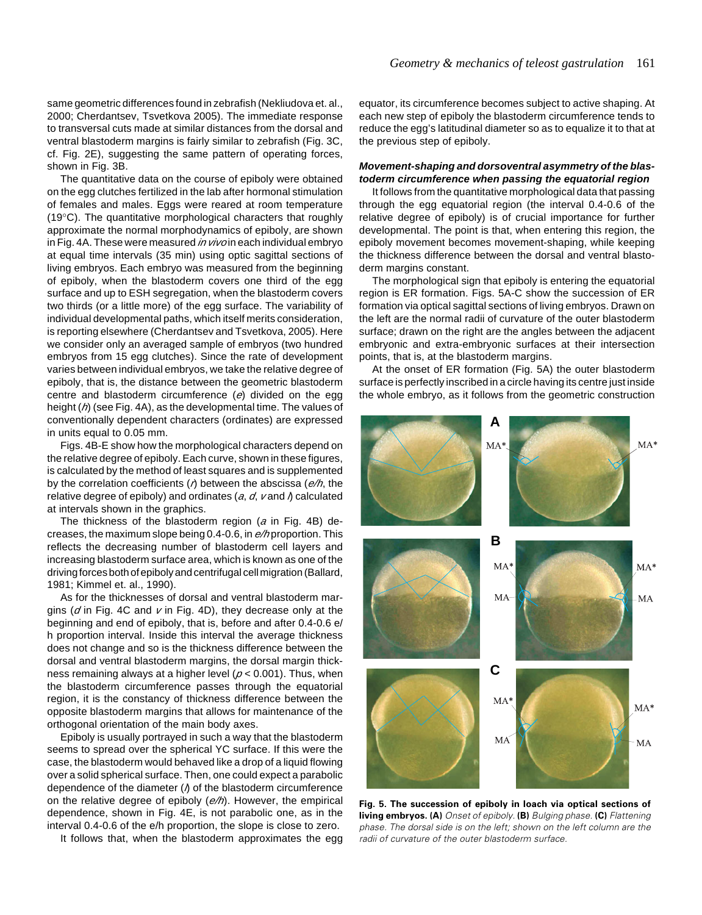same geometric differences found in zebrafish (Nekliudova et. al., 2000; Cherdantsev, Tsvetkova 2005). The immediate response to transversal cuts made at similar distances from the dorsal and ventral blastoderm margins is fairly similar to zebrafish (Fig. 3C, cf. Fig. 2E), suggesting the same pattern of operating forces, shown in Fig. 3B.

The quantitative data on the course of epiboly were obtained on the egg clutches fertilized in the lab after hormonal stimulation of females and males. Eggs were reared at room temperature (19°C). The quantitative morphological characters that roughly approximate the normal morphodynamics of epiboly, are shown in Fig. 4A. These were measured *in vivo* in each individual embryo at equal time intervals (35 min) using optic sagittal sections of living embryos. Each embryo was measured from the beginning of epiboly, when the blastoderm covers one third of the egg surface and up to ESH segregation, when the blastoderm covers two thirds (or a little more) of the egg surface. The variability of individual developmental paths, which itself merits consideration, is reporting elsewhere (Cherdantsev and Tsvetkova, 2005). Here we consider only an averaged sample of embryos (two hundred embryos from 15 egg clutches). Since the rate of development varies between individual embryos, we take the relative degree of epiboly, that is, the distance between the geometric blastoderm centre and blastoderm circumference (*e*) divided on the egg height (*h*) (see Fig. 4A), as the developmental time. The values of conventionally dependent characters (ordinates) are expressed in units equal to 0.05 mm.

Figs. 4B-E show how the morphological characters depend on the relative degree of epiboly. Each curve, shown in these figures, is calculated by the method of least squares and is supplemented by the correlation coefficients (*r*) between the abscissa (*e/h*, the relative degree of epiboly) and ordinates (*a*, *d*, *v* and *l*) calculated at intervals shown in the graphics.

The thickness of the blastoderm region (*a* in Fig. 4B) decreases, the maximum slope being 0.4-0.6, in *e/h* proportion. This reflects the decreasing number of blastoderm cell layers and increasing blastoderm surface area, which is known as one of the driving forces both of epiboly and centrifugal cell migration (Ballard, 1981; Kimmel et. al., 1990).

As for the thicknesses of dorsal and ventral blastoderm margins (*d* in Fig. 4C and *v* in Fig. 4D), they decrease only at the beginning and end of epiboly, that is, before and after 0.4-0.6 e/ h proportion interval. Inside this interval the average thickness does not change and so is the thickness difference between the dorsal and ventral blastoderm margins, the dorsal margin thickness remaining always at a higher level (*p* < 0.001). Thus, when the blastoderm circumference passes through the equatorial region, it is the constancy of thickness difference between the opposite blastoderm margins that allows for maintenance of the orthogonal orientation of the main body axes.

Epiboly is usually portrayed in such a way that the blastoderm seems to spread over the spherical YC surface. If this were the case, the blastoderm would behaved like a drop of a liquid flowing over a solid spherical surface. Then, one could expect a parabolic dependence of the diameter (*l*) of the blastoderm circumference on the relative degree of epiboly (*e/h*). However, the empirical dependence, shown in Fig. 4E, is not parabolic one, as in the interval 0.4-0.6 of the e/h proportion, the slope is close to zero.

It follows that, when the blastoderm approximates the egg

equator, its circumference becomes subject to active shaping. At each new step of epiboly the blastoderm circumference tends to reduce the egg's latitudinal diameter so as to equalize it to that at the previous step of epiboly.

# *Movement-shaping and dorsoventral asymmetry of the blastoderm circumference when passing the equatorial region*

It follows from the quantitative morphological data that passing through the egg equatorial region (the interval 0.4-0.6 of the relative degree of epiboly) is of crucial importance for further developmental. The point is that, when entering this region, the epiboly movement becomes movement-shaping, while keeping the thickness difference between the dorsal and ventral blastoderm margins constant.

The morphological sign that epiboly is entering the equatorial region is ER formation. Figs. 5A-C show the succession of ER formation via optical sagittal sections of living embryos. Drawn on the left are the normal radii of curvature of the outer blastoderm surface; drawn on the right are the angles between the adjacent embryonic and extra-embryonic surfaces at their intersection points, that is, at the blastoderm margins.

At the onset of ER formation (Fig. 5A) the outer blastoderm surface is perfectly inscribed in a circle having its centre just inside the whole embryo, as it follows from the geometric construction



**Fig. 5. The succession of epiboly in loach via optical sections of living embryos. (A)** Onset of epiboly. **(B)** Bulging phase. **(C)** Flattening phase. The dorsal side is on the left; shown on the left column are the radii of curvature of the outer blastoderm surface.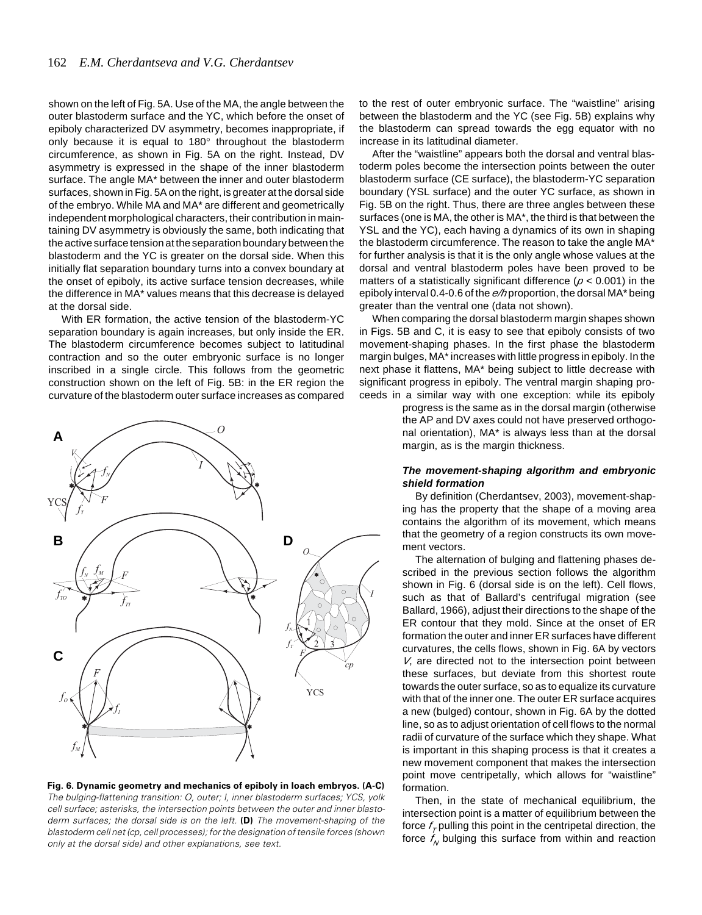shown on the left of Fig. 5A. Use of the MA, the angle between the outer blastoderm surface and the YC, which before the onset of epiboly characterized DV asymmetry, becomes inappropriate, if only because it is equal to 180° throughout the blastoderm circumference, as shown in Fig. 5A on the right. Instead, DV asymmetry is expressed in the shape of the inner blastoderm surface. The angle MA\* between the inner and outer blastoderm surfaces, shown in Fig. 5A on the right, is greater at the dorsal side of the embryo. While MA and MA\* are different and geometrically independent morphological characters, their contribution in maintaining DV asymmetry is obviously the same, both indicating that the active surface tension at the separation boundary between the blastoderm and the YC is greater on the dorsal side. When this initially flat separation boundary turns into a convex boundary at the onset of epiboly, its active surface tension decreases, while the difference in MA\* values means that this decrease is delayed at the dorsal side.

With ER formation, the active tension of the blastoderm-YC separation boundary is again increases, but only inside the ER. The blastoderm circumference becomes subject to latitudinal contraction and so the outer embryonic surface is no longer inscribed in a single circle. This follows from the geometric construction shown on the left of Fig. 5B: in the ER region the curvature of the blastoderm outer surface increases as compared



**Fig. 6. Dynamic geometry and mechanics of epiboly in loach embryos. (A-C)** The bulging-flattening transition: O, outer; I, inner blastoderm surfaces; YCS, yolk cell surface; asterisks, the intersection points between the outer and inner blastoderm surfaces; the dorsal side is on the left. **(D)** The movement-shaping of the blastoderm cell net (cp, cell processes); for the designation of tensile forces (shown only at the dorsal side) and other explanations, see text.

to the rest of outer embryonic surface. The "waistline" arising between the blastoderm and the YC (see Fig. 5B) explains why the blastoderm can spread towards the egg equator with no increase in its latitudinal diameter.

After the "waistline" appears both the dorsal and ventral blastoderm poles become the intersection points between the outer blastoderm surface (CE surface), the blastoderm-YC separation boundary (YSL surface) and the outer YC surface, as shown in Fig. 5B on the right. Thus, there are three angles between these surfaces (one is MA, the other is MA\*, the third is that between the YSL and the YC), each having a dynamics of its own in shaping the blastoderm circumference. The reason to take the angle MA\* for further analysis is that it is the only angle whose values at the dorsal and ventral blastoderm poles have been proved to be matters of a statistically significant difference (*p* < 0.001) in the epiboly interval 0.4-0.6 of the *e/h* proportion, the dorsal MA\* being greater than the ventral one (data not shown).

When comparing the dorsal blastoderm margin shapes shown in Figs. 5B and C, it is easy to see that epiboly consists of two movement-shaping phases. In the first phase the blastoderm margin bulges, MA\* increases with little progress in epiboly. In the next phase it flattens, MA\* being subject to little decrease with significant progress in epiboly. The ventral margin shaping proceeds in a similar way with one exception: while its epiboly

> progress is the same as in the dorsal margin (otherwise the AP and DV axes could not have preserved orthogonal orientation), MA\* is always less than at the dorsal margin, as is the margin thickness.

# *The movement-shaping algorithm and embryonic shield formation*

By definition (Cherdantsev, 2003), movement-shaping has the property that the shape of a moving area contains the algorithm of its movement, which means that the geometry of a region constructs its own movement vectors.

The alternation of bulging and flattening phases described in the previous section follows the algorithm shown in Fig. 6 (dorsal side is on the left). Cell flows, such as that of Ballard's centrifugal migration (see Ballard, 1966), adjust their directions to the shape of the ER contour that they mold. Since at the onset of ER formation the outer and inner ER surfaces have different curvatures, the cells flows, shown in Fig. 6A by vectors *V*, are directed not to the intersection point between these surfaces, but deviate from this shortest route towards the outer surface, so as to equalize its curvature with that of the inner one. The outer ER surface acquires a new (bulged) contour, shown in Fig. 6A by the dotted line, so as to adjust orientation of cell flows to the normal radii of curvature of the surface which they shape. What is important in this shaping process is that it creates a new movement component that makes the intersection point move centripetally, which allows for "waistline" formation.

Then, in the state of mechanical equilibrium, the intersection point is a matter of equilibrium between the force  $f<sub>z</sub>$  pulling this point in the centripetal direction, the force  $f_{\text{M}}$  bulging this surface from within and reaction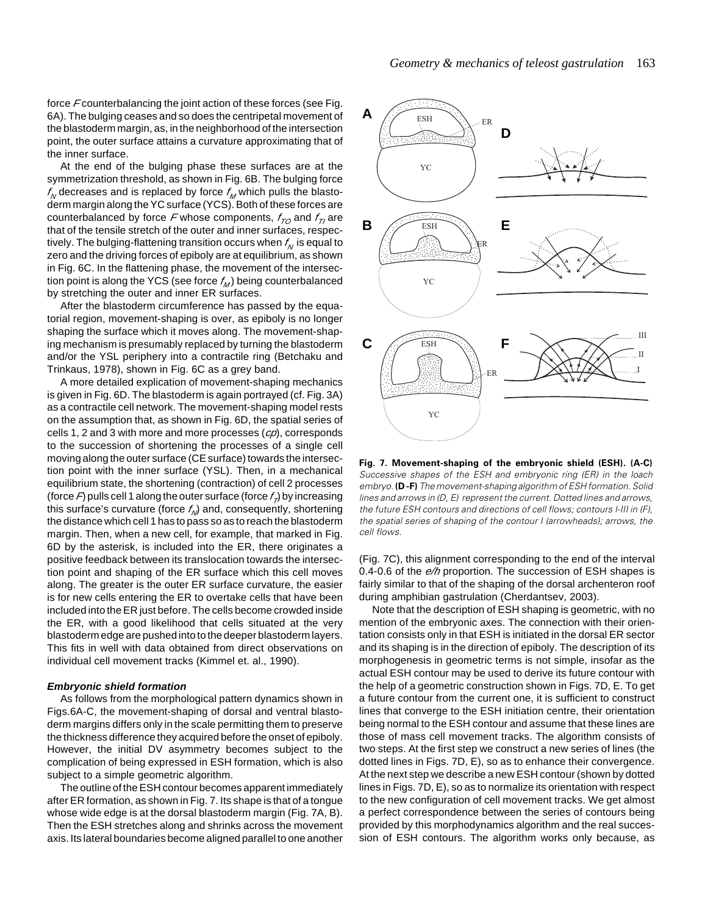force *F* counterbalancing the joint action of these forces (see Fig. 6A). The bulging ceases and so does the centripetal movement of the blastoderm margin, as, in the neighborhood of the intersection point, the outer surface attains a curvature approximating that of the inner surface.

At the end of the bulging phase these surfaces are at the symmetrization threshold, as shown in Fig. 6B. The bulging force  $f_N$  decreases and is replaced by force  $f_M$  which pulls the blastoderm margin along the YC surface (YCS). Both of these forces are counterbalanced by force  $F$  whose components,  $f_{TQ}$  and  $f_{TQ}$  are that of the tensile stretch of the outer and inner surfaces, respectively. The bulging-flattening transition occurs when  $f_{\scriptscriptstyle M}$  is equal to zero and the driving forces of epiboly are at equilibrium, as shown in Fig. 6C. In the flattening phase, the movement of the intersection point is along the YCS (see force  $f_M$ ) being counterbalanced by stretching the outer and inner ER surfaces.

After the blastoderm circumference has passed by the equatorial region, movement-shaping is over, as epiboly is no longer shaping the surface which it moves along. The movement-shaping mechanism is presumably replaced by turning the blastoderm and/or the YSL periphery into a contractile ring (Betchaku and Trinkaus, 1978), shown in Fig. 6C as a grey band.

A more detailed explication of movement-shaping mechanics is given in Fig. 6D. The blastoderm is again portrayed (cf. Fig. 3A) as a contractile cell network. The movement-shaping model rests on the assumption that, as shown in Fig. 6D, the spatial series of cells 1, 2 and 3 with more and more processes (*cp*), corresponds to the succession of shortening the processes of a single cell moving along the outer surface (CE surface) towards the intersection point with the inner surface (YSL). Then, in a mechanical equilibrium state, the shortening (contraction) of cell 2 processes (force  $\vec{F}$ ) pulls cell 1 along the outer surface (force  $f_{\vec{F}}$ ) by increasing this surface's curvature (force  $f_{\text{M}}$ ) and, consequently, shortening the distance which cell 1 has to pass so as to reach the blastoderm margin. Then, when a new cell, for example, that marked in Fig. 6D by the asterisk, is included into the ER, there originates a positive feedback between its translocation towards the intersection point and shaping of the ER surface which this cell moves along. The greater is the outer ER surface curvature, the easier is for new cells entering the ER to overtake cells that have been included into the ER just before. The cells become crowded inside the ER, with a good likelihood that cells situated at the very blastoderm edge are pushed into to the deeper blastoderm layers. This fits in well with data obtained from direct observations on individual cell movement tracks (Kimmel et. al., 1990).

#### *Embryonic shield formation*

As follows from the morphological pattern dynamics shown in Figs.6A-C, the movement-shaping of dorsal and ventral blastoderm margins differs only in the scale permitting them to preserve the thickness difference they acquired before the onset of epiboly. However, the initial DV asymmetry becomes subject to the complication of being expressed in ESH formation, which is also subject to a simple geometric algorithm.

The outline of the ESH contour becomes apparent immediately after ER formation, as shown in Fig. 7. Its shape is that of a tongue whose wide edge is at the dorsal blastoderm margin (Fig. 7A, B). Then the ESH stretches along and shrinks across the movement axis. Its lateral boundaries become aligned parallel to one another



**Fig. 7. Movement-shaping of the embryonic shield (ESH). (A-C)** Successive shapes of the ESH and embryonic ring (ER) in the loach embryo. **(D -F)** The movement-shaping algorithm of ESH formation. Solid lines and arrows in (D, E) represent the current. Dotted lines and arrows, the future ESH contours and directions of cell flows; contours I-III in (F), the spatial series of shaping of the contour I (arrowheads); arrows, the cell flows.

(Fig. 7C), this alignment corresponding to the end of the interval 0.4-0.6 of the *e/h* proportion. The succession of ESH shapes is fairly similar to that of the shaping of the dorsal archenteron roof during amphibian gastrulation (Cherdantsev, 2003).

Note that the description of ESH shaping is geometric, with no mention of the embryonic axes. The connection with their orientation consists only in that ESH is initiated in the dorsal ER sector and its shaping is in the direction of epiboly. The description of its morphogenesis in geometric terms is not simple, insofar as the actual ESH contour may be used to derive its future contour with the help of a geometric construction shown in Figs. 7D, E. To get a future contour from the current one, it is sufficient to construct lines that converge to the ESH initiation centre, their orientation being normal to the ESH contour and assume that these lines are those of mass cell movement tracks. The algorithm consists of two steps. At the first step we construct a new series of lines (the dotted lines in Figs. 7D, E), so as to enhance their convergence. At the next step we describe a new ESH contour (shown by dotted lines in Figs. 7D, E), so as to normalize its orientation with respect to the new configuration of cell movement tracks. We get almost a perfect correspondence between the series of contours being provided by this morphodynamics algorithm and the real succession of ESH contours. The algorithm works only because, as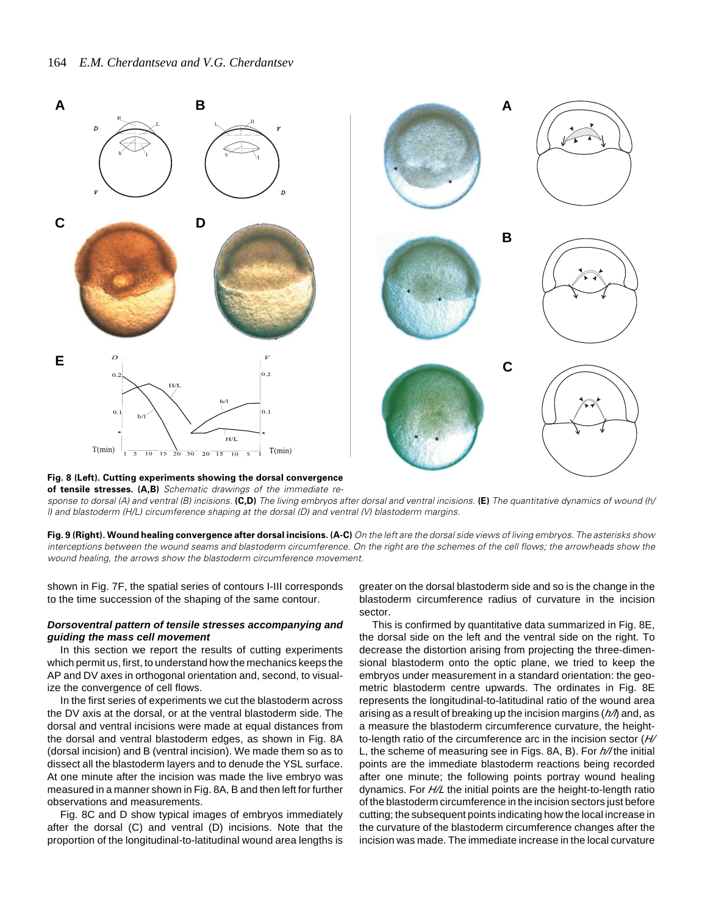

#### **Fig. 8 (Left). Cutting experiments showing the dorsal convergence of tensile stresses. (A,B)** Schematic drawings of the immediate re-

sponse to dorsal (A) and ventral (B) incisions. **(C,D)** The living embryos after dorsal and ventral incisions. **(E)** The quantitative dynamics of wound (h/ l) and blastoderm (H/L) circumference shaping at the dorsal (D) and ventral (V) blastoderm margins.

**Fig. 9 (Right). Wound healing convergence after dorsal incisions. (A-C)** On the left are the dorsal side views of living embryos. The asterisks show interceptions between the wound seams and blastoderm circumference. On the right are the schemes of the cell flows; the arrowheads show the wound healing, the arrows show the blastoderm circumference movement.

shown in Fig. 7F, the spatial series of contours I-III corresponds to the time succession of the shaping of the same contour.

#### *Dorsoventral pattern of tensile stresses accompanying and guiding the mass cell movement*

In this section we report the results of cutting experiments which permit us, first, to understand how the mechanics keeps the AP and DV axes in orthogonal orientation and, second, to visualize the convergence of cell flows.

In the first series of experiments we cut the blastoderm across the DV axis at the dorsal, or at the ventral blastoderm side. The dorsal and ventral incisions were made at equal distances from the dorsal and ventral blastoderm edges, as shown in Fig. 8A (dorsal incision) and B (ventral incision). We made them so as to dissect all the blastoderm layers and to denude the YSL surface. At one minute after the incision was made the live embryo was measured in a manner shown in Fig. 8A, B and then left for further observations and measurements.

Fig. 8C and D show typical images of embryos immediately after the dorsal (C) and ventral (D) incisions. Note that the proportion of the longitudinal-to-latitudinal wound area lengths is greater on the dorsal blastoderm side and so is the change in the blastoderm circumference radius of curvature in the incision sector.

This is confirmed by quantitative data summarized in Fig. 8E, the dorsal side on the left and the ventral side on the right. To decrease the distortion arising from projecting the three-dimensional blastoderm onto the optic plane, we tried to keep the embryos under measurement in a standard orientation: the geometric blastoderm centre upwards. The ordinates in Fig. 8E represents the longitudinal-to-latitudinal ratio of the wound area arising as a result of breaking up the incision margins (*h/l*) and, as a measure the blastoderm circumference curvature, the heightto-length ratio of the circumference arc in the incision sector (*H/* L, the scheme of measuring see in Figs. 8A, B). For  $h$ /the initial points are the immediate blastoderm reactions being recorded after one minute; the following points portray wound healing dynamics. For *H/L* the initial points are the height-to-length ratio of the blastoderm circumference in the incision sectors just before cutting; the subsequent points indicating how the local increase in the curvature of the blastoderm circumference changes after the incision was made. The immediate increase in the local curvature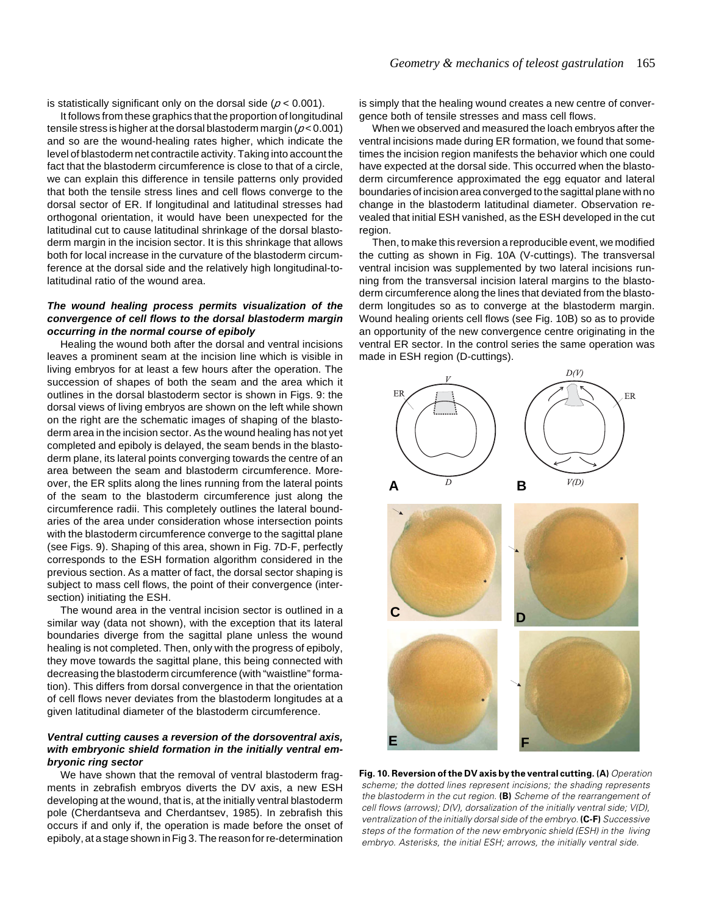is statistically significant only on the dorsal side ( $p < 0.001$ ).

It follows from these graphics that the proportion of longitudinal tensile stress is higher at the dorsal blastoderm margin (*p* < 0.001) and so are the wound-healing rates higher, which indicate the level of blastoderm net contractile activity. Taking into account the fact that the blastoderm circumference is close to that of a circle, we can explain this difference in tensile patterns only provided that both the tensile stress lines and cell flows converge to the dorsal sector of ER. If longitudinal and latitudinal stresses had orthogonal orientation, it would have been unexpected for the latitudinal cut to cause latitudinal shrinkage of the dorsal blastoderm margin in the incision sector. It is this shrinkage that allows both for local increase in the curvature of the blastoderm circumference at the dorsal side and the relatively high longitudinal-tolatitudinal ratio of the wound area.

# *The wound healing process permits visualization of the convergence of cell flows to the dorsal blastoderm margin occurring in the normal course of epiboly*

Healing the wound both after the dorsal and ventral incisions leaves a prominent seam at the incision line which is visible in living embryos for at least a few hours after the operation. The succession of shapes of both the seam and the area which it outlines in the dorsal blastoderm sector is shown in Figs. 9: the dorsal views of living embryos are shown on the left while shown on the right are the schematic images of shaping of the blastoderm area in the incision sector. As the wound healing has not yet completed and epiboly is delayed, the seam bends in the blastoderm plane, its lateral points converging towards the centre of an area between the seam and blastoderm circumference. Moreover, the ER splits along the lines running from the lateral points of the seam to the blastoderm circumference just along the circumference radii. This completely outlines the lateral boundaries of the area under consideration whose intersection points with the blastoderm circumference converge to the sagittal plane (see Figs. 9). Shaping of this area, shown in Fig. 7D-F, perfectly corresponds to the ESH formation algorithm considered in the previous section. As a matter of fact, the dorsal sector shaping is subject to mass cell flows, the point of their convergence (intersection) initiating the ESH.

The wound area in the ventral incision sector is outlined in a similar way (data not shown), with the exception that its lateral boundaries diverge from the sagittal plane unless the wound healing is not completed. Then, only with the progress of epiboly, they move towards the sagittal plane, this being connected with decreasing the blastoderm circumference (with "waistline" formation). This differs from dorsal convergence in that the orientation of cell flows never deviates from the blastoderm longitudes at a given latitudinal diameter of the blastoderm circumference.

# *Ventral cutting causes a reversion of the dorsoventral axis, with embryonic shield formation in the initially ventral embryonic ring sector*

We have shown that the removal of ventral blastoderm fragments in zebrafish embryos diverts the DV axis, a new ESH developing at the wound, that is, at the initially ventral blastoderm pole (Cherdantseva and Cherdantsev, 1985). In zebrafish this occurs if and only if, the operation is made before the onset of epiboly, at a stage shown in Fig 3. The reason for re-determination

is simply that the healing wound creates a new centre of convergence both of tensile stresses and mass cell flows.

When we observed and measured the loach embryos after the ventral incisions made during ER formation, we found that sometimes the incision region manifests the behavior which one could have expected at the dorsal side. This occurred when the blastoderm circumference approximated the egg equator and lateral boundaries of incision area converged to the sagittal plane with no change in the blastoderm latitudinal diameter. Observation revealed that initial ESH vanished, as the ESH developed in the cut region.

Then, to make this reversion a reproducible event, we modified the cutting as shown in Fig. 10A (V-cuttings). The transversal ventral incision was supplemented by two lateral incisions running from the transversal incision lateral margins to the blastoderm circumference along the lines that deviated from the blastoderm longitudes so as to converge at the blastoderm margin. Wound healing orients cell flows (see Fig. 10B) so as to provide an opportunity of the new convergence centre originating in the ventral ER sector. In the control series the same operation was made in ESH region (D-cuttings).



**Fig. 10. Reversion of the DV axis by the ventral cutting. (A)** Operation scheme; the dotted lines represent incisions; the shading represents the blastoderm in the cut region. **(B)** Scheme of the rearrangement of cell flows (arrows); D(V), dorsalization of the initially ventral side; V(D), ventralization of the initially dorsal side of the embryo. **(C-F)** Successive steps of the formation of the new embryonic shield (ESH) in the living embryo. Asterisks, the initial ESH; arrows, the initially ventral side.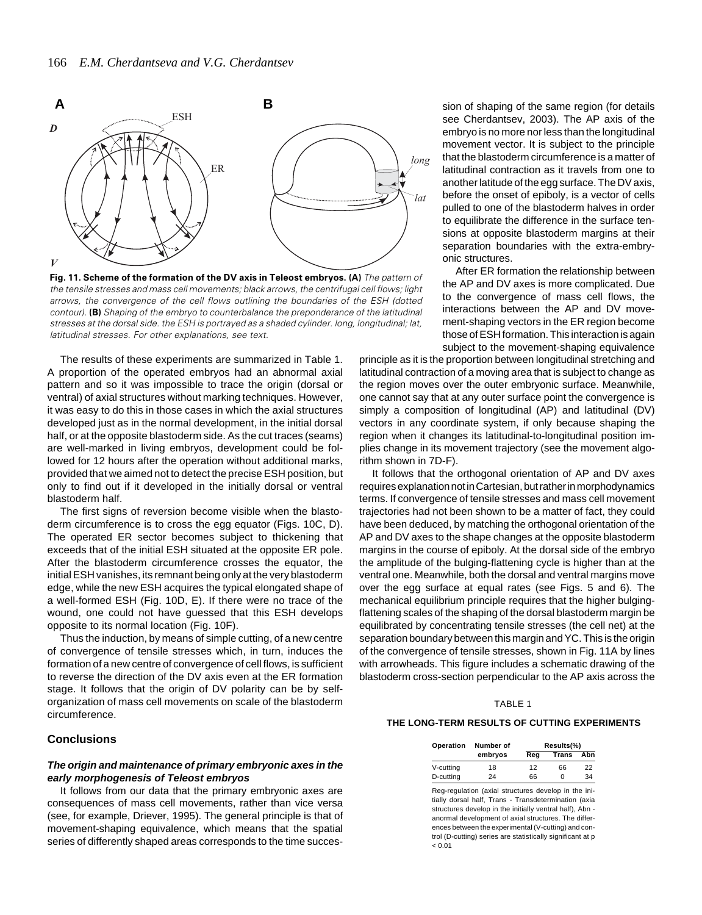

**Fig. 11. Scheme of the formation of the DV axis in Teleost embryos. (A)** The pattern of the tensile stresses and mass cell movements; black arrows, the centrifugal cell flows; light arrows, the convergence of the cell flows outlining the boundaries of the ESH (dotted contour). **(B)** Shaping of the embryo to counterbalance the preponderance of the latitudinal stresses at the dorsal side. the ESH is portrayed as a shaded cylinder. long, longitudinal; lat, latitudinal stresses. For other explanations, see text.

The results of these experiments are summarized in Table 1. A proportion of the operated embryos had an abnormal axial pattern and so it was impossible to trace the origin (dorsal or ventral) of axial structures without marking techniques. However, it was easy to do this in those cases in which the axial structures developed just as in the normal development, in the initial dorsal half, or at the opposite blastoderm side. As the cut traces (seams) are well-marked in living embryos, development could be followed for 12 hours after the operation without additional marks, provided that we aimed not to detect the precise ESH position, but only to find out if it developed in the initially dorsal or ventral blastoderm half.

The first signs of reversion become visible when the blastoderm circumference is to cross the egg equator (Figs. 10C, D). The operated ER sector becomes subject to thickening that exceeds that of the initial ESH situated at the opposite ER pole. After the blastoderm circumference crosses the equator, the initial ESH vanishes, its remnant being only at the very blastoderm edge, while the new ESH acquires the typical elongated shape of a well-formed ESH (Fig. 10D, E). If there were no trace of the wound, one could not have guessed that this ESH develops opposite to its normal location (Fig. 10F).

Thus the induction, by means of simple cutting, of a new centre of convergence of tensile stresses which, in turn, induces the formation of a new centre of convergence of cell flows, is sufficient to reverse the direction of the DV axis even at the ER formation stage. It follows that the origin of DV polarity can be by selforganization of mass cell movements on scale of the blastoderm circumference.

# **Conclusions**

## *The origin and maintenance of primary embryonic axes in the early morphogenesis of Teleost embryos*

It follows from our data that the primary embryonic axes are consequences of mass cell movements, rather than vice versa (see, for example, Driever, 1995). The general principle is that of movement-shaping equivalence, which means that the spatial series of differently shaped areas corresponds to the time successee Cherdantsev, 2003). The AP axis of the embryo is no more nor less than the longitudinal movement vector. It is subject to the principle that the blastoderm circumference is a matter of latitudinal contraction as it travels from one to another latitude of the egg surface. The DV axis, before the onset of epiboly, is a vector of cells pulled to one of the blastoderm halves in order to equilibrate the difference in the surface tensions at opposite blastoderm margins at their separation boundaries with the extra-embryonic structures.

After ER formation the relationship between the AP and DV axes is more complicated. Due to the convergence of mass cell flows, the interactions between the AP and DV movement-shaping vectors in the ER region become those of ESH formation. This interaction is again subject to the movement-shaping equivalence

principle as it is the proportion between longitudinal stretching and latitudinal contraction of a moving area that is subject to change as the region moves over the outer embryonic surface. Meanwhile, one cannot say that at any outer surface point the convergence is simply a composition of longitudinal (AP) and latitudinal (DV) vectors in any coordinate system, if only because shaping the region when it changes its latitudinal-to-longitudinal position implies change in its movement trajectory (see the movement algorithm shown in 7D-F).

It follows that the orthogonal orientation of AP and DV axes requires explanation not in Cartesian, but rather in morphodynamics terms. If convergence of tensile stresses and mass cell movement trajectories had not been shown to be a matter of fact, they could have been deduced, by matching the orthogonal orientation of the AP and DV axes to the shape changes at the opposite blastoderm margins in the course of epiboly. At the dorsal side of the embryo the amplitude of the bulging-flattening cycle is higher than at the ventral one. Meanwhile, both the dorsal and ventral margins move over the egg surface at equal rates (see Figs. 5 and 6). The mechanical equilibrium principle requires that the higher bulgingflattening scales of the shaping of the dorsal blastoderm margin be equilibrated by concentrating tensile stresses (the cell net) at the separation boundary between this margin and YC. This is the origin of the convergence of tensile stresses, shown in Fig. 11A by lines with arrowheads. This figure includes a schematic drawing of the blastoderm cross-section perpendicular to the AP axis across the

#### TABLE 1

#### **THE LONG-TERM RESULTS OF CUTTING EXPERIMENTS**

| Operation | Number of | Results(%) |              |     |
|-----------|-----------|------------|--------------|-----|
|           | embryos   | Reg        | <b>Trans</b> | Abn |
| V-cutting | 18        | 12         | 66           | 22  |
| D-cutting | 24        | 66         | n            | 34  |

Reg-regulation (axial structures develop in the initially dorsal half, Trans - Transdetermination (axia structures develop in the initially ventral half), Abn anormal development of axial structures. The differences between the experimental (V-cutting) and control (D-cutting) series are statistically significant at p  $< 0.01$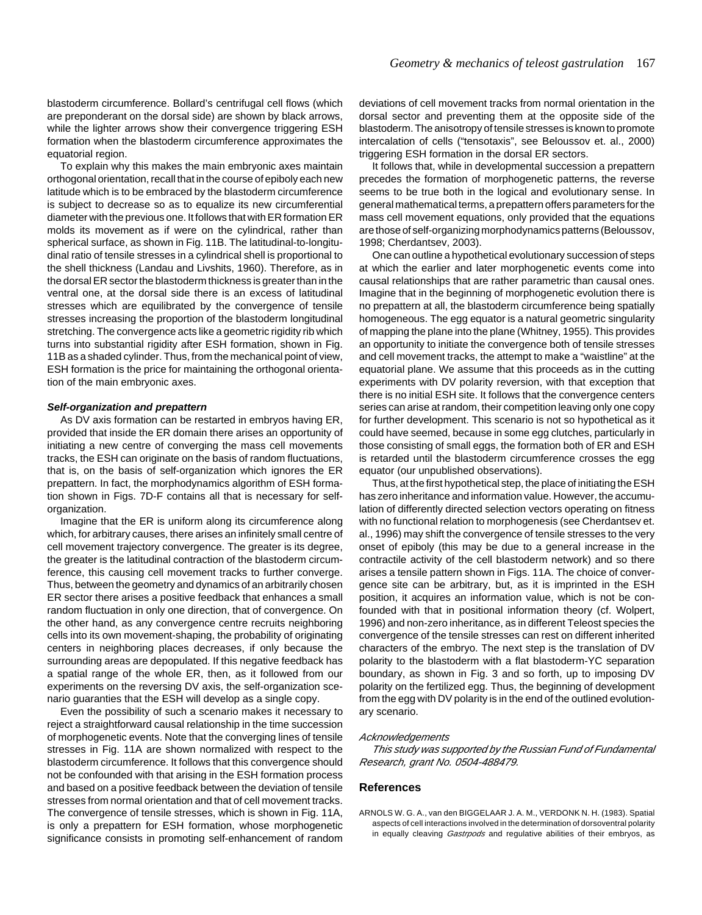blastoderm circumference. Bollard's centrifugal cell flows (which are preponderant on the dorsal side) are shown by black arrows, while the lighter arrows show their convergence triggering ESH formation when the blastoderm circumference approximates the equatorial region.

To explain why this makes the main embryonic axes maintain orthogonal orientation, recall that in the course of epiboly each new latitude which is to be embraced by the blastoderm circumference is subject to decrease so as to equalize its new circumferential diameter with the previous one. It follows that with ER formation ER molds its movement as if were on the cylindrical, rather than spherical surface, as shown in Fig. 11B. The latitudinal-to-longitudinal ratio of tensile stresses in a cylindrical shell is proportional to the shell thickness (Landau and Livshits, 1960). Therefore, as in the dorsal ER sector the blastoderm thickness is greater than in the ventral one, at the dorsal side there is an excess of latitudinal stresses which are equilibrated by the convergence of tensile stresses increasing the proportion of the blastoderm longitudinal stretching. The convergence acts like a geometric rigidity rib which turns into substantial rigidity after ESH formation, shown in Fig. 11B as a shaded cylinder. Thus, from the mechanical point of view, ESH formation is the price for maintaining the orthogonal orientation of the main embryonic axes.

#### *Self-organization and prepattern*

As DV axis formation can be restarted in embryos having ER, provided that inside the ER domain there arises an opportunity of initiating a new centre of converging the mass cell movements tracks, the ESH can originate on the basis of random fluctuations, that is, on the basis of self-organization which ignores the ER prepattern. In fact, the morphodynamics algorithm of ESH formation shown in Figs. 7D-F contains all that is necessary for selforganization.

Imagine that the ER is uniform along its circumference along which, for arbitrary causes, there arises an infinitely small centre of cell movement trajectory convergence. The greater is its degree, the greater is the latitudinal contraction of the blastoderm circumference, this causing cell movement tracks to further converge. Thus, between the geometry and dynamics of an arbitrarily chosen ER sector there arises a positive feedback that enhances a small random fluctuation in only one direction, that of convergence. On the other hand, as any convergence centre recruits neighboring cells into its own movement-shaping, the probability of originating centers in neighboring places decreases, if only because the surrounding areas are depopulated. If this negative feedback has a spatial range of the whole ER, then, as it followed from our experiments on the reversing DV axis, the self-organization scenario guaranties that the ESH will develop as a single copy.

Even the possibility of such a scenario makes it necessary to reject a straightforward causal relationship in the time succession of morphogenetic events. Note that the converging lines of tensile stresses in Fig. 11A are shown normalized with respect to the blastoderm circumference. It follows that this convergence should not be confounded with that arising in the ESH formation process and based on a positive feedback between the deviation of tensile stresses from normal orientation and that of cell movement tracks. The convergence of tensile stresses, which is shown in Fig. 11A, is only a prepattern for ESH formation, whose morphogenetic significance consists in promoting self-enhancement of random

deviations of cell movement tracks from normal orientation in the dorsal sector and preventing them at the opposite side of the blastoderm. The anisotropy of tensile stresses is known to promote intercalation of cells ("tensotaxis", see Beloussov et. al., 2000) triggering ESH formation in the dorsal ER sectors.

It follows that, while in developmental succession a prepattern precedes the formation of morphogenetic patterns, the reverse seems to be true both in the logical and evolutionary sense. In general mathematical terms, a prepattern offers parameters for the mass cell movement equations, only provided that the equations are those of self-organizing morphodynamics patterns (Beloussov, 1998; Cherdantsev, 2003).

One can outline a hypothetical evolutionary succession of steps at which the earlier and later morphogenetic events come into causal relationships that are rather parametric than causal ones. Imagine that in the beginning of morphogenetic evolution there is no prepattern at all, the blastoderm circumference being spatially homogeneous. The egg equator is a natural geometric singularity of mapping the plane into the plane (Whitney, 1955). This provides an opportunity to initiate the convergence both of tensile stresses and cell movement tracks, the attempt to make a "waistline" at the equatorial plane. We assume that this proceeds as in the cutting experiments with DV polarity reversion, with that exception that there is no initial ESH site. It follows that the convergence centers series can arise at random, their competition leaving only one copy for further development. This scenario is not so hypothetical as it could have seemed, because in some egg clutches, particularly in those consisting of small eggs, the formation both of ER and ESH is retarded until the blastoderm circumference crosses the egg equator (our unpublished observations).

Thus, at the first hypothetical step, the place of initiating the ESH has zero inheritance and information value. However, the accumulation of differently directed selection vectors operating on fitness with no functional relation to morphogenesis (see Cherdantsev et. al., 1996) may shift the convergence of tensile stresses to the very onset of epiboly (this may be due to a general increase in the contractile activity of the cell blastoderm network) and so there arises a tensile pattern shown in Figs. 11A. The choice of convergence site can be arbitrary, but, as it is imprinted in the ESH position, it acquires an information value, which is not be confounded with that in positional information theory (cf. Wolpert, 1996) and non-zero inheritance, as in different Teleost species the convergence of the tensile stresses can rest on different inherited characters of the embryo. The next step is the translation of DV polarity to the blastoderm with a flat blastoderm-YC separation boundary, as shown in Fig. 3 and so forth, up to imposing DV polarity on the fertilized egg. Thus, the beginning of development from the egg with DV polarity is in the end of the outlined evolutionary scenario.

#### *Acknowledgements*

*This study was supported by the Russian Fund of Fundamental Research, grant No. 0504-488479.*

#### **References**

ARNOLS W. G. A., van den BIGGELAAR J. A. M., VERDONK N. H. (1983). Spatial aspects of cell interactions involved in the determination of dorsoventral polarity in equally cleaving *Gastrpods* and regulative abilities of their embryos, as